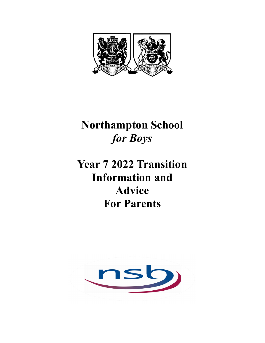

# Northampton School for Boys

# Year 7 2022 Transition Information and Advice For Parents

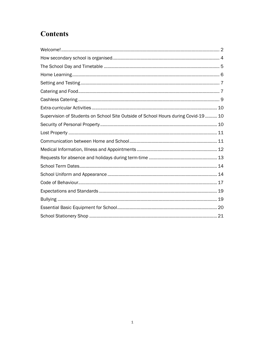# **Contents**

| Supervision of Students on School Site Outside of School Hours during Covid-19  10 |  |
|------------------------------------------------------------------------------------|--|
|                                                                                    |  |
|                                                                                    |  |
|                                                                                    |  |
|                                                                                    |  |
|                                                                                    |  |
|                                                                                    |  |
|                                                                                    |  |
|                                                                                    |  |
|                                                                                    |  |
|                                                                                    |  |
|                                                                                    |  |
|                                                                                    |  |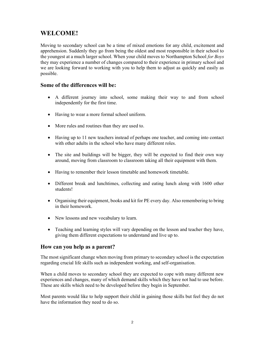# WELCOME!

Moving to secondary school can be a time of mixed emotions for any child, excitement and apprehension. Suddenly they go from being the oldest and most responsible in their school to the youngest at a much larger school. When your child moves to Northampton School for Boys they may experience a number of changes compared to their experience in primary school and we are looking forward to working with you to help them to adjust as quickly and easily as possible.

### Some of the differences will be:

- A different journey into school, some making their way to and from school independently for the first time.
- Having to wear a more formal school uniform.
- More rules and routines than they are used to.
- Having up to 11 new teachers instead of perhaps one teacher, and coming into contact with other adults in the school who have many different roles.
- The site and buildings will be bigger, they will be expected to find their own way around, moving from classroom to classroom taking all their equipment with them.
- Having to remember their lesson timetable and homework timetable.
- Different break and lunchtimes, collecting and eating lunch along with 1600 other students!
- Organising their equipment, books and kit for PE every day. Also remembering to bring in their homework.
- New lessons and new vocabulary to learn.
- Teaching and learning styles will vary depending on the lesson and teacher they have, giving them different expectations to understand and live up to.

### How can you help as a parent?

The most significant change when moving from primary to secondary school is the expectation regarding crucial life skills such as independent working, and self-organisation.

When a child moves to secondary school they are expected to cope with many different new experiences and changes, many of which demand skills which they have not had to use before. These are skills which need to be developed before they begin in September.

Most parents would like to help support their child in gaining those skills but feel they do not have the information they need to do so.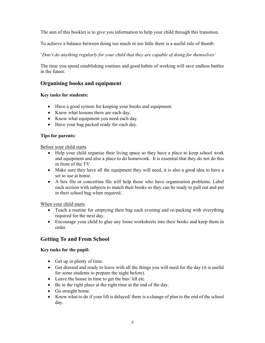The aim of this booklet is to give you information to help your child through this transition.

To achieve a balance between doing too much or too little there is a useful rule of thumb:

'Don't do anything regularly for your child that they are capable of doing for themselves'

The time you spend establishing routines and good habits of working will save endless battles in the future.

### Organising books and equipment

### Key tasks for students:

- Have a good system for keeping your books and equipment.
- Know what lessons there are each day.
- Know what equipment you need each day.
- Have your bag packed ready for each day.

### Tips for parents:

#### Before your child starts

- Help your child organise their living space so they have a place to keep school work and equipment and also a place to do homework. It is essential that they do not do this in front of the TV.
- Make sure they have all the equipment they will need, it is also a good idea to have a set to use at home.
- A box file or concertina file will help those who have organisation problems. Label each section with subjects to match their books so they can be ready to pull out and put in their school bag when required.

#### When your child starts

- Teach a routine for emptying their bag each evening and re-packing with everything required for the next day.
- Encourage your child to glue any loose worksheets into their books and keep them in order.

### Getting To and From School

### Key tasks for the pupil:

- Get up in plenty of time.
- Get dressed and ready to leave with all the things you will need for the day (it is useful for some students to prepare the night before).
- Leave the house in time to get the bus/ lift etc.
- Be in the right place at the right time at the end of the day.
- Go straight home.
- Know what to do if your lift is delayed/ there is a change of plan to the end of the school day.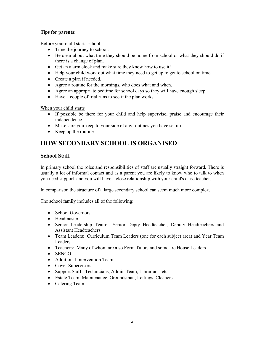### Tips for parents:

Before your child starts school

- Time the journey to school.
- Be clear about what time they should be home from school or what they should do if there is a change of plan.
- Get an alarm clock and make sure they know how to use it!
- Help your child work out what time they need to get up to get to school on time.
- Create a plan if needed.
- Agree a routine for the mornings, who does what and when.
- Agree an appropriate bedtime for school days so they will have enough sleep.
- Have a couple of trial runs to see if the plan works.

When your child starts

- If possible be there for your child and help supervise, praise and encourage their independence.
- Make sure you keep to your side of any routines you have set up.
- Keep up the routine.

# HOW SECONDARY SCHOOL IS ORGANISED

### School Staff

In primary school the roles and responsibilities of staff are usually straight forward. There is usually a lot of informal contact and as a parent you are likely to know who to talk to when you need support, and you will have a close relationship with your child's class teacher.

In comparison the structure of a large secondary school can seem much more complex.

The school family includes all of the following:

- School Governors
- Headmaster
- Senior Leadership Team: Senior Depty Headteacher, Deputy Headteachers and Assistant Headteachers
- Team Leaders: Curriculum Team Leaders (one for each subject area) and Year Team Leaders.
- Teachers: Many of whom are also Form Tutors and some are House Leaders
- SENCO
- Additional Intervention Team
- Cover Supervisors
- Support Staff: Technicians, Admin Team, Librarians, etc
- Estate Team: Maintenance, Groundsman, Lettings, Cleaners
- Catering Team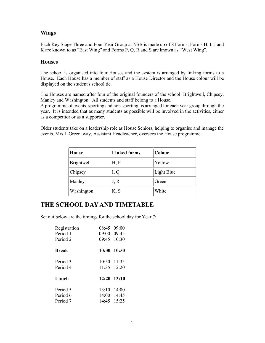### Wings

Each Key Stage Three and Four Year Group at NSB is made up of 8 Forms: Forms H, I, J and K are known to as "East Wing" and Forms P, Q, R and S are known as "West Wing".

### **Houses**

The school is organised into four Houses and the system is arranged by linking forms to a House. Each House has a member of staff as a House Director and the House colour will be displayed on the student's school tie.

The Houses are named after four of the original founders of the school: Brightwell, Chipsey, Manley and Washington. All students and staff belong to a House.

A programme of events, sporting and non-sporting, is arranged for each year group through the year. It is intended that as many students as possible will be involved in the activities, either as a competitor or as a supporter.

Older students take on a leadership role as House Seniors, helping to organise and manage the events. Mrs L Greenaway, Assistant Headteacher, oversees the House programme.

| <b>House</b> | <b>Linked forms</b> | Colour     |
|--------------|---------------------|------------|
| Brightwell   | H, P                | Yellow     |
| Chipsey      | I, Q                | Light Blue |
| Manley       | J, R                | Green      |
| Washington   | K, S                | White      |

### THE SCHOOL DAY AND TIMETABLE

Set out below are the timings for the school day for Year 7:

| Registration | 08:45 09:00     |                 |
|--------------|-----------------|-----------------|
| Period 1     | $09:00$ $09:45$ |                 |
| Period 2     | $09:45$ 10:30   |                 |
| <b>Break</b> | 10:30 10:50     |                 |
| Period 3     |                 | $10:50$ 11:35   |
| Period 4     |                 | $11:35$ $12:20$ |
| Lunch        |                 | $12:20$ $13:10$ |
| Period 5     |                 | $13:10$ 14:00   |
| Period 6     |                 | 14:00 14:45     |
| Period 7     |                 | 14:45 15:25     |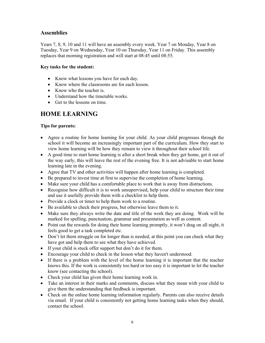### **Assemblies**

Years 7, 8, 9, 10 and 11 will have an assembly every week. Year 7 on Monday, Year 8 on Tuesday, Year 9 on Wednesday, Year 10 on Thursday, Year 11 on Friday. This assembly replaces that morning registration and will start at 08:45 until 08:55.

#### Key tasks for the student:

- Know what lessons you have for each day.
- Know where the classrooms are for each lesson.
- Know who the teacher is.
- Understand how the timetable works.
- Get to the lessons on time.

### HOME LEARNING

#### Tips for parents:

- Agree a routine for home learning for your child. As your child progresses through the school it will become an increasingly important part of the curriculum. How they start to view home learning will be how they remain to view it throughout their school life.
- A good time to start home learning is after a short break when they get home, get it out of the way early, this will leave the rest of the evening free. It is not advisable to start home learning late in the evening.
- Agree that TV and other activities will happen after home learning is completed.
- Be prepared to invest time at first to supervise the completion of home learning.
- Make sure your child has a comfortable place to work that is away from distractions.
- Recognise how difficult it is to work unsupervised, help your child to structure their time and use it usefully provide them with a checklist to help them.
- Provide a clock or timer to help them work to a routine.
- Be available to check their progress, but otherwise leave them to it.
- Make sure they always write the date and title of the work they are doing. Work will be marked for spelling, punctuation, grammar and presentation as well as content.
- Point out the rewards for doing their home learning promptly, it won't drag on all night, it feels good to get a task completed etc.
- Don't let them struggle on for longer than is needed, at this point you can check what they have got and help them to see what they have achieved.
- If your child is stuck offer support but don't do it for them.
- Encourage your child to check in the lesson what they haven't understood.
- If there is a problem with the level of the home learning it is important that the teacher knows this. If the work is consistently too hard or too easy it is important to let the teacher know (see contacting the school).
- Check your child has given their home learning work in.
- Take an interest in their marks and comments, discuss what they mean with your child to give them the understanding that feedback is important.
- Check on the online home learning information regularly. Parents can also receive details via email. If your child is consistently not getting home learning tasks when they should, contact the school.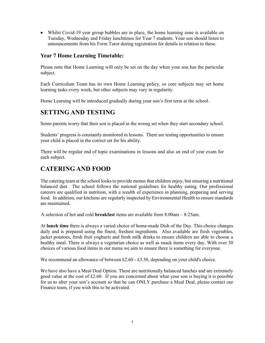Whilst Covid-19 year group bubbles are in place, the home learning zone is available on Tuesday, Wednesday and Friday lunchtimes for Year 7 students. Your son should listen to announcements from his Form Tutor during registration for details in relation to these.

### Year 7 Home Learning Timetable:

Please note that Home Learning will only be set on the day when your son has the particular subject.

Each Curriculum Team has its own Home Learning policy, so core subjects may set home learning tasks every week, but other subjects may vary in regularity.

Home Learning will be introduced gradually during your son's first term at the school.

# SETTING AND TESTING

Some parents worry that their son is placed in the wrong set when they start secondary school.

Students' progress is constantly monitored in lessons. There are testing opportunities to ensure your child is placed in the correct set for his ability.

There will be regular end of topic examinations in lessons and also an end of year exam for each subject.

# CATERING AND FOOD

The catering team at the school looks to provide menus that children enjoy, but ensuring a nutritional balanced diet. The school follows the national guidelines for healthy eating. Our professional caterers are qualified in nutrition, with a wealth of experience in planning, preparing and serving food. In addition, our kitchens are regularly inspected by Environmental Health to ensure standards are maintained.

A selection of hot and cold breakfast items are available from 8:00am – 8:25am.

At lunch time there is always a varied choice of home-made Dish of the Day. This choice changes daily and is prepared using the finest, freshest ingredients. Also available are fresh vegetables, jacket potatoes, fresh fruit yoghurts and fresh milk drinks to ensure children are able to choose a healthy meal. There is always a vegetarian choice as well as snack items every day. With over 30 choices of various food items in our menu we aim to ensure there is something for everyone.

We recommend an allowance of between £2.60 - £3.50, depending on your child's choice.

We have also have a Meal Deal Option. These are nutritionally balanced lunches and are extremely good value at the cost of £2.60. If you are concerned about what your son is buying it is possible for us to alter your son's account so that he can ONLY purchase a Meal Deal, please contact our Finance team, if you wish this to be activated.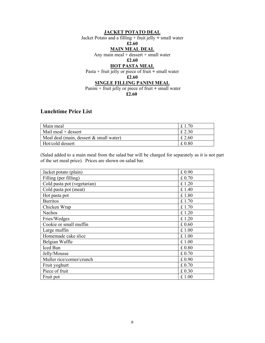#### JACKET POTATO DEAL

Jacket Potato and a filling + fruit jelly + small water

£2.60

### MAIN MEAL DEAL

Any main meal + dessert + small water

#### £2.60

### **HOT PASTA MEAL**

Pasta + fruit jelly or piece of fruit + small water

#### £2.60

### SINGLE FILLING PANINI MEAL

Panini + fruit jelly or piece of fruit + small water

#### £2.60

### Lunchtime Price List

| Main meal                               | £ 1.70 |
|-----------------------------------------|--------|
| Mail meal $+$ dessert                   | £ 2.30 |
| Meal deal (main, dessert & small water) | £ 2.60 |
| Hot/cold dessert                        | £0.80  |

(Salad added to a main meal from the salad bar will be charged for separately as it is not part of the set meal price). Prices are shown on salad bar.

| Jacket potato (plain)       | £ 0.90 |
|-----------------------------|--------|
| Filling (per filling)       | £0.70  |
| Cold pasta pot (vegetarian) | £ 1.20 |
| Cold pasta pot (meat)       | £1.40  |
| Hot pasta pot               | £1.80  |
| <b>Burritos</b>             | £ 1.70 |
| Chicken Wrap                | £ 1.70 |
| <b>Nachos</b>               | £ 1.20 |
| Fries/Wedges                | £ 1.20 |
| Cookie or small muffin      | £0.60  |
| Large muffin                | £ 1.00 |
| Homemade cake slice         | £ 1.00 |
| Belgian Waffle              | £ 1.00 |
| Iced Bun                    | £0.80  |
| Jelly/Mousse                | £ 0.70 |
| Muller rice/corner/crunch   | £ 0.90 |
| Fruit yoghurt               | £0.70  |
| Piece of fruit              | £0.30  |
| Fruit pot                   | £ 1.00 |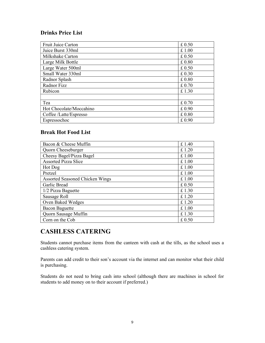### Drinks Price List

| Fruit Juice Carton      | £0.50  |
|-------------------------|--------|
| Juice Burst 330ml       | £ 1.00 |
| Milkshake Carton        | £0.50  |
| Large Milk Bottle       | £0.80  |
| Large Water 500ml       | £0.50  |
| Small Water 330ml       | £0.30  |
| Radnor Splash           | £0.80  |
| Radnor Fizz             | £0.70  |
| Rubicon                 | £1.30  |
|                         |        |
| Tea                     | £0.70  |
| Hot Chocolate/Moccahino | £0.90  |
| Coffee /Latte/Espresso  | £0.80  |
| Espressochoc            | £ 0.90 |

### Break Hot Food List

| Bacon & Cheese Muffin                  | £1.40  |
|----------------------------------------|--------|
| Quorn Cheeseburger                     | £ 1.20 |
| Cheesy Bagel/Pizza Bagel               | £1.00  |
| <b>Assorted Pizza Slice</b>            | £1.00  |
| Hot Dog                                | £1.00  |
| Pretzel                                | £1.00  |
| <b>Assorted Seasoned Chicken Wings</b> | £ 1.00 |
| Garlic Bread                           | £0.50  |
| 1/2 Pizza Baguette                     | £1.30  |
| Sausage Roll                           | £ 1.20 |
| Oven Baked Wedges                      | £ 1.20 |
| <b>Bacon Baguette</b>                  | £1.00  |
| Quorn Sausage Muffin                   | £1.30  |
| Corn on the Cob                        | £0.50  |

# CASHLESS CATERING

Students cannot purchase items from the canteen with cash at the tills, as the school uses a cashless catering system.

Parents can add credit to their son's account via the internet and can monitor what their child is purchasing.

Students do not need to bring cash into school (although there are machines in school for students to add money on to their account if preferred.)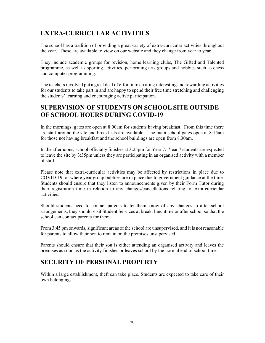# EXTRA-CURRICULAR ACTIVITIES

The school has a tradition of providing a great variety of extra-curricular activities throughout the year. These are available to view on our website and they change from year to year.

They include academic groups for revision, home learning clubs, The Gifted and Talented programme, as well as sporting activities, performing arts groups and hobbies such as chess and computer programming.

The teachers involved put a great deal of effort into creating interesting and rewarding activities for our students to take part in and are happy to spend their free time stretching and challenging the students' learning and encouraging active participation.

## SUPERVISION OF STUDENTS ON SCHOOL SITE OUTSIDE OF SCHOOL HOURS DURING COVID-19

In the mornings, gates are open at 8:00am for students having breakfast. From this time there are staff around the site and breakfasts are available. The main school gates open at 8:15am for those not having breakfast and the school buildings are open from 8.30am.

In the afternoons, school officially finishes at 3:25pm for Year 7. Year 7 students are expected to leave the site by 3:35pm unless they are participating in an organised activity with a member of staff.

Please note that extra-curricular activities may be affected by restrictions in place due to COVID-19, or where year group bubbles are in place due to government guidance at the time. Students should ensure that they listen to announcements given by their Form Tutor during their registration time in relation to any changes/cancellations relating to extra-curricular activities.

Should students need to contact parents to let them know of any changes to after school arrangements, they should visit Student Services at break, lunchtime or after school so that the school can contact parents for them.

From 3:45 pm onwards, significant areas of the school are unsupervised, and it is not reasonable for parents to allow their son to remain on the premises unsupervised.

Parents should ensure that their son is either attending an organised activity and leaves the premises as soon as the activity finishes or leaves school by the normal end of school time.

### SECURITY OF PERSONAL PROPERTY

Within a large establishment, theft can take place. Students are expected to take care of their own belongings.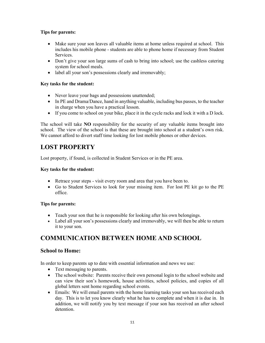### Tips for parents:

- Make sure your son leaves all valuable items at home unless required at school. This includes his mobile phone - students are able to phone home if necessary from Student Services.
- Don't give your son large sums of cash to bring into school; use the cashless catering system for school meals.
- label all your son's possessions clearly and irremovably;

### Key tasks for the student:

- Never leave your bags and possessions unattended;
- In PE and Drama/Dance, hand in anything valuable, including bus passes, to the teacher in charge when you have a practical lesson.
- If you come to school on your bike, place it in the cycle racks and lock it with a D lock.

The school will take **NO** responsibility for the security of any valuable items brought into school. The view of the school is that these are brought into school at a student's own risk. We cannot afford to divert staff time looking for lost mobile phones or other devices.

# LOST PROPERTY

Lost property, if found, is collected in Student Services or in the PE area.

#### Key tasks for the student:

- Retrace your steps visit every room and area that you have been to.
- Go to Student Services to look for your missing item. For lost PE kit go to the PE office.

### Tips for parents:

- Teach your son that he is responsible for looking after his own belongings.
- Label all your son's possessions clearly and irremovably, we will then be able to return it to your son.

# COMMUNICATION BETWEEN HOME AND SCHOOL

### School to Home:

In order to keep parents up to date with essential information and news we use:

- Text messaging to parents.
- The school website: Parents receive their own personal login to the school website and can view their son's homework, house activities, school policies, and copies of all global letters sent home regarding school events.
- Emails: We will email parents with the home learning tasks your son has received each day. This is to let you know clearly what he has to complete and when it is due in. In addition, we will notify you by text message if your son has received an after school detention.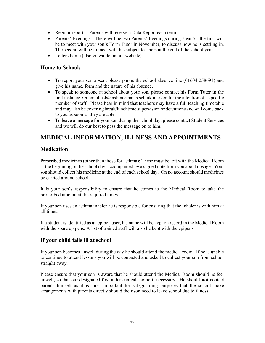- Regular reports: Parents will receive a Data Report each term.
- Parents' Evenings: There will be two Parents' Evenings during Year 7: the first will be to meet with your son's Form Tutor in November, to discuss how he is settling in. The second will be to meet with his subject teachers at the end of the school year.
- Letters home (also viewable on our website).

### Home to School:

- To report your son absent please phone the school absence line (01604 258691) and give his name, form and the nature of his absence.
- To speak to someone at school about your son, please contact his Form Tutor in the first instance. Or email  $nsb@nsb$  northants.sch.uk marked for the attention of a specific member of staff. Please bear in mind that teachers may have a full teaching timetable and may also be covering break/lunchtime supervision or detentions and will come back to you as soon as they are able.
- To leave a message for your son during the school day, please contact Student Services and we will do our best to pass the message on to him.

## MEDICAL INFORMATION, ILLNESS AND APPOINTMENTS

### **Medication**

Prescribed medicines (other than those for asthma): These must be left with the Medical Room at the beginning of the school day, accompanied by a signed note from you about dosage. Your son should collect his medicine at the end of each school day. On no account should medicines be carried around school.

It is your son's responsibility to ensure that he comes to the Medical Room to take the prescribed amount at the required times.

If your son uses an asthma inhaler he is responsible for ensuring that the inhaler is with him at all times.

If a student is identified as an epipen user, his name will be kept on record in the Medical Room with the spare epipens. A list of trained staff will also be kept with the epipens.

### If your child falls ill at school

If your son becomes unwell during the day he should attend the medical room. If he is unable to continue to attend lessons you will be contacted and asked to collect your son from school straight away.

Please ensure that your son is aware that he should attend the Medical Room should he feel unwell, so that our designated first aider can call home if necessary. He should not contact parents himself as it is most important for safeguarding purposes that the school make arrangements with parents directly should their son need to leave school due to illness.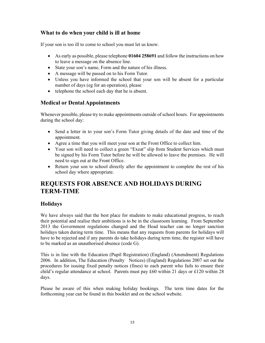### What to do when your child is ill at home

If your son is too ill to come to school you must let us know.

- As early as possible, please telephone 01604 258691 and follow the instructions on how to leave a message on the absence line.
- State your son's name, Form and the nature of his illness.
- A message will be passed on to his Form Tutor.
- Unless you have informed the school that your son will be absent for a particular number of days (eg for an operation), please
- telephone the school each day that he is absent.

### Medical or Dental Appointments

Whenever possible, please try to make appointments outside of school hours. For appointments during the school day:

- Send a letter in to your son's Form Tutor giving details of the date and time of the appointment.
- Agree a time that you will meet your son at the Front Office to collect him.
- Your son will need to collect a green "Exeat" slip from Student Services which must be signed by his Form Tutor before he will be allowed to leave the premises. He will need to sign out at the Front Office.
- Return your son to school directly after the appointment to complete the rest of his school day where appropriate.

# REQUESTS FOR ABSENCE AND HOLIDAYS DURING TERM-TIME

### Holidays

We have always said that the best place for students to make educational progress, to reach their potential and realise their ambitions is to be in the classroom learning. From September 2013 the Government regulations changed and the Head teacher can no longer sanction holidays taken during term time. This means that any requests from parents for holidays will have to be rejected and if any parents do take holidays during term time, the register will have to be marked as an unauthorised absence (code G).

This is in line with the Education (Pupil Registration) (England) (Amendment) Regulations 2006. In addition, The Education (Penalty Notices) (England) Regulations 2007 set out the procedures for issuing fixed penalty notices (fines) to each parent who fails to ensure their child's regular attendance at school. Parents must pay £60 within 21 days or £120 within 28 days.

Please be aware of this when making holiday bookings. The term time dates for the forthcoming year can be found in this booklet and on the school website.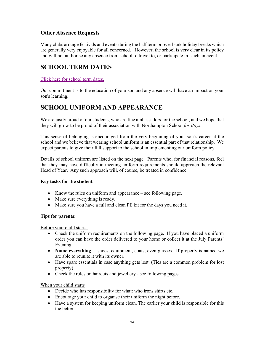### Other Absence Requests

Many clubs arrange festivals and events during the half term or over bank holiday breaks which are generally very enjoyable for all concerned. However, the school is very clear in its policy and will not authorise any absence from school to travel to, or participate in, such an event.

# SCHOOL TERM DATES

Click here for school term dates.

Our commitment is to the education of your son and any absence will have an impact on your son's learning.

# SCHOOL UNIFORM AND APPEARANCE

We are justly proud of our students, who are fine ambassadors for the school, and we hope that they will grow to be proud of their association with Northampton School for Boys.

This sense of belonging is encouraged from the very beginning of your son's career at the school and we believe that wearing school uniform is an essential part of that relationship. We expect parents to give their full support to the school in implementing our uniform policy.

Details of school uniform are listed on the next page. Parents who, for financial reasons, feel that they may have difficulty in meeting uniform requirements should approach the relevant Head of Year. Any such approach will, of course, be treated in confidence.

### Key tasks for the student

- Know the rules on uniform and appearance  $-$  see following page.
- Make sure everything is ready.
- Make sure you have a full and clean PE kit for the days you need it.

#### Tips for parents:

Before your child starts

- Check the uniform requirements on the following page. If you have placed a uniform order you can have the order delivered to your home or collect it at the July Parents' Evening.
- Name everything— shoes, equipment, coats, even glasses. If property is named we are able to reunite it with its owner.
- Have spare essentials in case anything gets lost. (Ties are a common problem for lost property)
- Check the rules on haircuts and jewellery see following pages

#### When your child starts

- Decide who has responsibility for what: who irons shirts etc.
- Encourage your child to organise their uniform the night before.
- Have a system for keeping uniform clean. The earlier your child is responsible for this the better.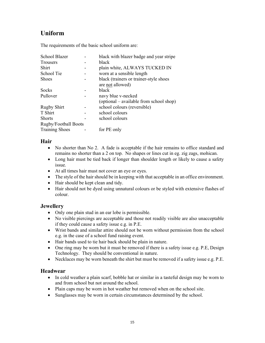# Uniform

The requirements of the basic school uniform are:

| School Blazer         | black with blazer badge and year stripe |
|-----------------------|-----------------------------------------|
| <b>Trousers</b>       | black                                   |
| <b>Shirt</b>          | plain white, ALWAYS TUCKED IN           |
| School Tie            | worn at a sensible length               |
| <b>Shoes</b>          | black (trainers or trainer-style shoes  |
|                       | are not allowed)                        |
| Socks                 | black                                   |
| Pullover              | navy blue v-necked                      |
|                       | (optional – available from school shop) |
| <b>Rugby Shirt</b>    | school colours (reversible)             |
| T Shirt               | school colours                          |
| <b>Shorts</b>         | school colours                          |
| Rugby/Football Boots  |                                         |
| <b>Training Shoes</b> | for PE only                             |

### Hair

- No shorter than No 2. A fade is acceptable if the hair remains to office standard and remains no shorter than a 2 on top. No shapes or lines cut in eg. zig zags, mohican.
- Long hair must be tied back if longer than shoulder length or likely to cause a safety issue.
- At all times hair must not cover an eye or eyes.
- The style of the hair should be in keeping with that acceptable in an office environment.
- Hair should be kept clean and tidy.
- Hair should not be dyed using unnatural colours or be styled with extensive flashes of colour.

### **Jewellery**

- Only one plain stud in an ear lobe is permissible.
- No visible piercings are acceptable and those not readily visible are also unacceptable if they could cause a safety issue e.g. in P.E.
- Wrist bands and similar attire should not be worn without permission from the school e.g. in the case of a school fund raising event.
- Hair bands used to tie hair back should be plain in nature.
- One ring may be worn but it must be removed if there is a safety issue e.g. P.E, Design Technology. They should be conventional in nature.
- Necklaces may be worn beneath the shirt but must be removed if a safety issue e.g. P.E.

### Headwear

- In cold weather a plain scarf, bobble hat or similar in a tasteful design may be worn to and from school but not around the school.
- Plain caps may be worn in hot weather but removed when on the school site.
- Sunglasses may be worn in certain circumstances determined by the school.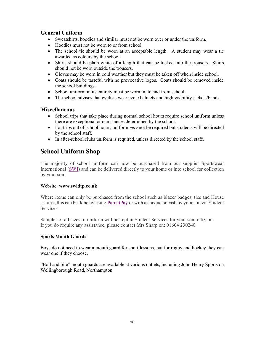### General Uniform

- Sweatshirts, hoodies and similar must not be worn over or under the uniform.
- Hoodies must not be worn to or from school.
- The school tie should be worn at an acceptable length. A student may wear a tie awarded as colours by the school.
- Shirts should be plain white of a length that can be tucked into the trousers. Shirts should not be worn outside the trousers.
- Gloves may be worn in cold weather but they must be taken off when inside school.
- Coats should be tasteful with no provocative logos. Coats should be removed inside the school buildings.
- School uniform in its entirety must be worn in, to and from school.
- The school advises that cyclists wear cycle helmets and high visibility jackets/bands.

### Miscellaneous

- School trips that take place during normal school hours require school uniform unless there are exceptional circumstances determined by the school.
- For trips out of school hours, uniform  $may$  not be required but students will be directed by the school staff.
- In after-school clubs uniform is required, unless directed by the school staff.

# School Uniform Shop

The majority of school uniform can now be purchased from our supplier Sportswear International (SWI) and can be delivered directly to your home or into school for collection by your son.

### Website: www.swidtp.co.uk

Where items can only be purchased from the school such as blazer badges, ties and House t-shirts, this can be done by using ParentPay or with a cheque or cash by your son via Student Services.

Samples of all sizes of uniform will be kept in Student Services for your son to try on. If you do require any assistance, please contact Mrs Sharp on: 01604 230240.

### Sports Mouth Guards

Boys do not need to wear a mouth guard for sport lessons, but for rugby and hockey they can wear one if they choose.

"Boil and bite" mouth guards are available at various outlets, including John Henry Sports on Wellingborough Road, Northampton.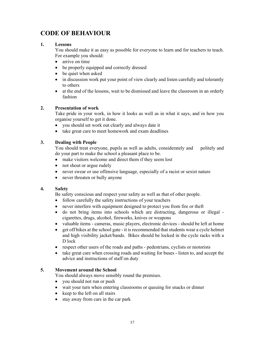# CODE OF BEHAVIOUR

### 1. Lessons

You should make it as easy as possible for everyone to learn and for teachers to teach. For example you should:

- arrive on time
- be properly equipped and correctly dressed
- be quiet when asked
- in discussion work put your point of view clearly and listen carefully and tolerantly to others
- at the end of the lessons, wait to be dismissed and leave the classroom in an orderly fashion

### 2. Presentation of work

Take pride in your work, in how it looks as well as in what it says, and in how you organise yourself to get it done.

- you should set work out clearly and always date it
- take great care to meet homework and exam deadlines

### 3. Dealing with People

You should treat everyone, pupils as well as adults, considerately and politely and do your part to make the school a pleasant place to be.

- make visitors welcome and direct them if they seem lost
- not shout or argue rudely
- never swear or use offensive language, especially of a racist or sexist nature
- never threaten or bully anyone

### 4. Safety

Be safety conscious and respect your safety as well as that of other people.

- follow carefully the safety instructions of your teachers
- never interfere with equipment designed to protect you from fire or theft
- do not bring items into schools which are distracting, dangerous or illegal cigarettes, drugs, alcohol, fireworks, knives or weapons
- valuable items cameras, music players, electronic devices should be left at home
- get off bikes at the school gate it is recommended that students wear a cycle helmet and high visibility jacket/bands. Bikes should be locked in the cycle racks with a D lock
- respect other users of the roads and paths pedestrians, cyclists or motorists
- take great care when crossing roads and waiting for buses listen to, and accept the advice and instructions of staff on duty

### 5. Movement around the School

You should always move sensibly round the premises.

- you should not run or push
- wait your turn when entering classrooms or queuing for snacks or dinner
- $\bullet$  keep to the left on all stairs
- stay away from cars in the car park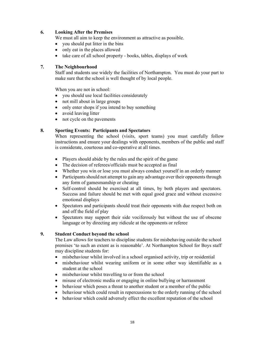#### 6. Looking After the Premises

We must all aim to keep the environment as attractive as possible.

- you should put litter in the bins
- only eat in the places allowed
- take care of all school property books, tables, displays of work

#### 7. The Neighbourhood

Staff and students use widely the facilities of Northampton. You must do your part to make sure that the school is well thought of by local people.

When you are not in school:

- you should use local facilities considerately
- not mill about in large groups
- only enter shops if you intend to buy something
- avoid leaving litter
- not cycle on the pavements

#### 8. Sporting Events: Participants and Spectators

When representing the school (visits, sport teams) you must carefully follow instructions and ensure your dealings with opponents, members of the public and staff is considerate, courteous and co-operative at all times.

- Players should abide by the rules and the spirit of the game
- The decision of referees/officials must be accepted as final
- Whether you win or lose you must always conduct yourself in an orderly manner
- Participants should not attempt to gain any advantage over their opponents through any form of gamesmanship or cheating
- Self-control should be exercised at all times, by both players and spectators. Success and failure should be met with equal good grace and without excessive emotional displays
- Spectators and participants should treat their opponents with due respect both on and off the field of play
- Spectators may support their side vociferously but without the use of obscene language or by directing any ridicule at the opponents or referee

#### 9. Student Conduct beyond the school

The Law allows for teachers to discipline students for misbehaving outside the school premises 'to such an extent as is reasonable'. At Northampton School for Boys staff may discipline students for:

- misbehaviour whilst involved in a school organised activity, trip or residential
- misbehaviour whilst wearing uniform or in some other way identifiable as a student at the school
- misbehaviour whilst travelling to or from the school
- misuse of electronic media or engaging in online bullying or harrassment
- behaviour which poses a threat to another student or a member of the public
- behaviour which could result in repercussions to the orderly running of the school
- behaviour which could adversely effect the excellent reputation of the school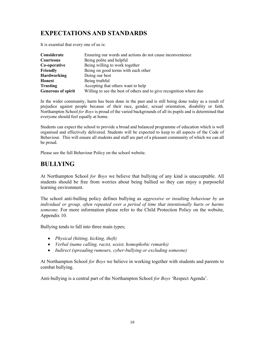# EXPECTATIONS AND STANDARDS

It is essential that every one of us is:

| Considerate               | Ensuring our words and actions do not cause inconvenience           |
|---------------------------|---------------------------------------------------------------------|
| Courteous                 | Being polite and helpful                                            |
| Co-operative              | Being willing to work together                                      |
| Friendly                  | Being on good terms with each other                                 |
| <b>Hardworking</b>        | Doing our best                                                      |
| <b>Honest</b>             | Being truthful                                                      |
| <b>Trusting</b>           | Accepting that others want to help                                  |
| <b>Generous of spirit</b> | Willing to see the best of others and to give recognition where due |

In the wider community, harm has been done in the past and is still being done today as a result of prejudice against people because of their race, gender, sexual orientation, disability or faith. Northampton School for Boys is proud of the varied backgrounds of all its pupils and is determined that everyone should feel equally at home.

Students can expect the school to provide a broad and balanced programme of education which is well organised and effectively delivered. Students will be expected to keep to all aspects of the Code of Behaviour. This will ensure all students and staff are part of a pleasant community of which we can all be proud.

Please see the full Behaviour Policy on the school website.

# BULLYING

At Northampton School for Boys we believe that bullying of any kind is unacceptable. All students should be free from worries about being bullied so they can enjoy a purposeful learning environment.

The school anti-bulling policy defines bullying as *aggressive or insulting behaviour by an* individual or group, often repeated over a period of time that intentionally hurts or harms someone. For more information please refer to the Child Protection Policy on the website, Appendix 10.

Bullying tends to fall into three main types;

- Physical (hitting, kicking, theft)
- Verbal (name calling, racist, sexist, homophobic remarks)
- Indirect (spreading rumours, cyber-bullying or excluding someone)

At Northampton School for Boys we believe in working together with students and parents to combat bullying.

Anti-bullying is a central part of the Northampton School for Boys 'Respect Agenda'.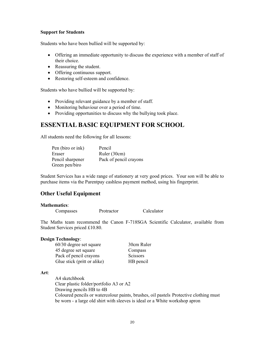#### Support for Students

Students who have been bullied will be supported by:

- Offering an immediate opportunity to discuss the experience with a member of staff of their choice.
- Reassuring the student.
- Offering continuous support.
- Restoring self-esteem and confidence.

Students who have bullied will be supported by:

- Providing relevant guidance by a member of staff.
- Monitoring behaviour over a period of time.
- Providing opportunities to discuss why the bullying took place.

### ESSENTIAL BASIC EQUIPMENT FOR SCHOOL

All students need the following for all lessons:

| Pen (biro or ink) | Pencil                 |
|-------------------|------------------------|
| Eraser            | Ruler (30cm)           |
| Pencil sharpener  | Pack of pencil crayons |
| Green pen/biro    |                        |

Student Services has a wide range of stationery at very good prices. Your son will be able to purchase items via the Parentpay cashless payment method, using his fingerprint.

### Other Useful Equipment

#### Mathematics:

Compasses Protractor Calculator

The Maths team recommend the Canon F-718SGA Scientific Calculator, available from Student Services priced £10.80.

#### Design Technology:

 60/30 degree set square 30cm Ruler 45 degree set square Compass Pack of pencil crayons Scissors Glue stick (pritt or alike) HB pencil

#### Art:

 A4 sketchbook Clear plastic folder/portfolio A3 or A2 Drawing pencils HB to 4B Coloured pencils or watercolour paints, brushes, oil pastels Protective clothing must be worn - a large old shirt with sleeves is ideal or a White workshop apron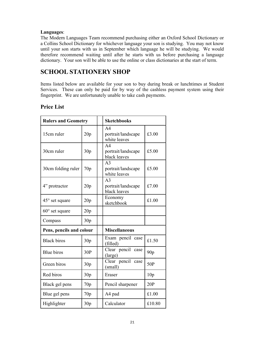### Languages:

The Modern Languages Team recommend purchasing either an Oxford School Dictionary or a Collins School Dictionary for whichever language your son is studying. You may not know until your son starts with us in September which language he will be studying. We would therefore recommend waiting until after he starts with us before purchasing a language dictionary. Your son will be able to use the online or class dictionaries at the start of term.

# SCHOOL STATIONERY SHOP

Items listed below are available for your son to buy during break or lunchtimes at Student Services. These can only be paid for by way of the cashless payment system using their fingerprint. We are unfortunately unable to take cash payments.

### Price List

| <b>Rulers and Geometry</b> |     | <b>Sketchbooks</b>                                   |                 |
|----------------------------|-----|------------------------------------------------------|-----------------|
| 15cm ruler                 | 20p | A <sub>4</sub><br>portrait/landscape<br>white leaves | £3.00           |
| 30cm ruler                 | 30p | A <sub>4</sub><br>portrait/landscape<br>black leaves | £5.00           |
| 30cm folding ruler         | 70p | A <sub>3</sub><br>portrait/landscape<br>white leaves | £5.00           |
| 4" protractor              | 20p | A <sup>3</sup><br>portrait/landscape<br>black leaves | £7.00           |
| 45° set square             | 20p | Economy<br>sketchbook                                | £1.00           |
| $60^{\circ}$ set square    | 20p |                                                      |                 |
| Compass                    | 30p |                                                      |                 |
| Pens, pencils and colour   |     | <b>Miscellaneous</b>                                 |                 |
| <b>Black biros</b>         | 30p | Exam pencil<br>case<br>(filled)                      | £1.50           |
| <b>Blue biros</b>          | 30P | Clear pencil<br>case<br>(large)                      | 90 <sub>p</sub> |
| Green biros                | 30p | Clear pencil<br>case<br>(small)                      | 50P             |
| Red biros                  | 30p | Eraser                                               | 10p             |
| Black gel pens             | 70p | Pencil sharpener                                     | 20P             |
| Blue gel pens              | 70p | A4 pad                                               | £1.00           |
| Highlighter                | 30p | Calculator                                           | £10.80          |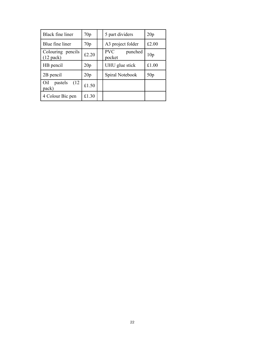| Black fine liner                 | 70p   | 5 part dividers                 | 20p             |
|----------------------------------|-------|---------------------------------|-----------------|
| Blue fine liner                  | 70p   | A3 project folder               | £2.00           |
| Colouring pencils<br>$(12$ pack) | £2.20 | <b>PVC</b><br>punched<br>pocket | 10 <sub>p</sub> |
| HB pencil                        | 20p   | UHU glue stick                  | £1.00           |
| 2B pencil                        | 20p   | Spiral Notebook                 | 50p             |
| Oil<br>pastels<br>(12)<br>pack)  | £1.50 |                                 |                 |
| 4 Colour Bic pen                 | £1.30 |                                 |                 |